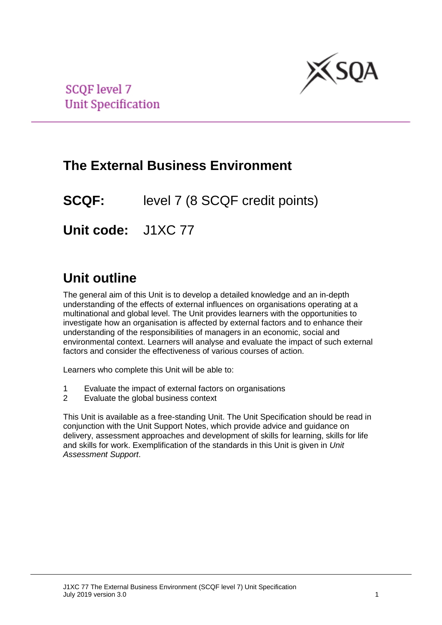

**SCQF** level 7 **Unit Specification** 

# **The External Business Environment**

**SCQF:** level 7 (8 SCQF credit points)

**Unit code:** J1XC 77

# **Unit outline**

The general aim of this Unit is to develop a detailed knowledge and an in-depth understanding of the effects of external influences on organisations operating at a multinational and global level. The Unit provides learners with the opportunities to investigate how an organisation is affected by external factors and to enhance their understanding of the responsibilities of managers in an economic, social and environmental context. Learners will analyse and evaluate the impact of such external factors and consider the effectiveness of various courses of action.

Learners who complete this Unit will be able to:

- 1 Evaluate the impact of external factors on organisations
- 2 Evaluate the global business context

This Unit is available as a free-standing Unit. The Unit Specification should be read in conjunction with the Unit Support Notes, which provide advice and guidance on delivery, assessment approaches and development of skills for learning, skills for life and skills for work. Exemplification of the standards in this Unit is given in *Unit Assessment Support*.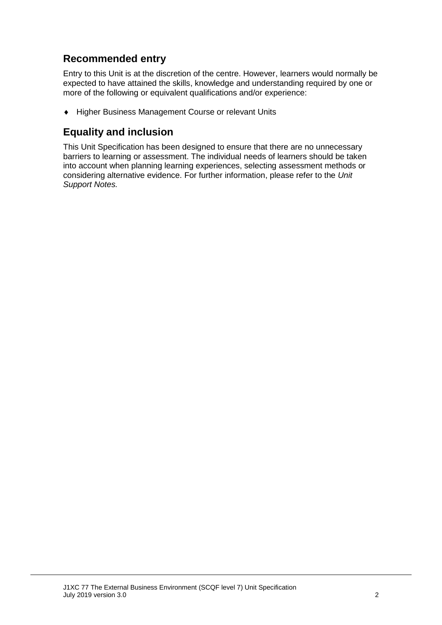## **Recommended entry**

Entry to this Unit is at the discretion of the centre. However, learners would normally be expected to have attained the skills, knowledge and understanding required by one or more of the following or equivalent qualifications and/or experience:

◆ Higher Business Management Course or relevant Units

## **Equality and inclusion**

This Unit Specification has been designed to ensure that there are no unnecessary barriers to learning or assessment. The individual needs of learners should be taken into account when planning learning experiences, selecting assessment methods or considering alternative evidence. For further information, please refer to the *Unit Support Notes.*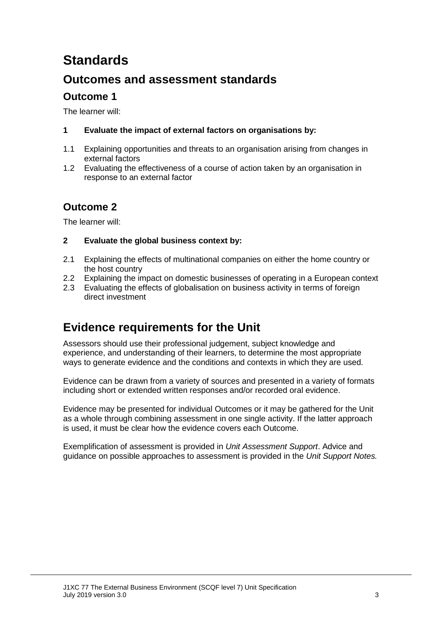# **Standards**

## **Outcomes and assessment standards**

### **Outcome 1**

The learner will:

#### **1 Evaluate the impact of external factors on organisations by:**

- 1.1 Explaining opportunities and threats to an organisation arising from changes in external factors
- 1.2 Evaluating the effectiveness of a course of action taken by an organisation in response to an external factor

### **Outcome 2**

The learner will:

#### **2 Evaluate the global business context by:**

- 2.1 Explaining the effects of multinational companies on either the home country or the host country
- 2.2 Explaining the impact on domestic businesses of operating in a European context
- 2.3 Evaluating the effects of globalisation on business activity in terms of foreign direct investment

## **Evidence requirements for the Unit**

Assessors should use their professional judgement, subject knowledge and experience, and understanding of their learners, to determine the most appropriate ways to generate evidence and the conditions and contexts in which they are used.

Evidence can be drawn from a variety of sources and presented in a variety of formats including short or extended written responses and/or recorded oral evidence.

Evidence may be presented for individual Outcomes or it may be gathered for the Unit as a whole through combining assessment in one single activity. If the latter approach is used, it must be clear how the evidence covers each Outcome.

Exemplification of assessment is provided in *Unit Assessment Support*. Advice and guidance on possible approaches to assessment is provided in the *Unit Support Notes.*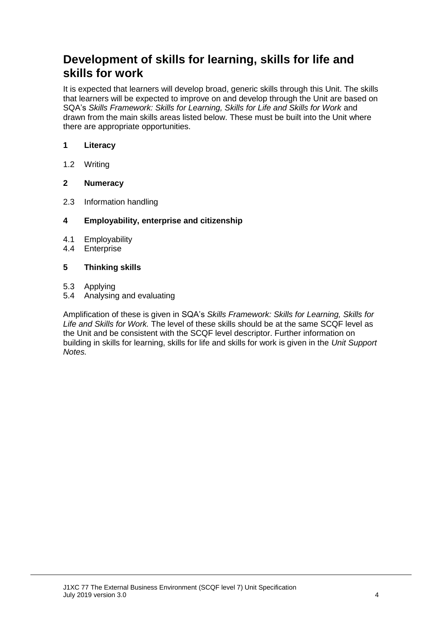## **Development of skills for learning, skills for life and skills for work**

It is expected that learners will develop broad, generic skills through this Unit. The skills that learners will be expected to improve on and develop through the Unit are based on SQA's *Skills Framework: Skills for Learning, Skills for Life and Skills for Work* and drawn from the main skills areas listed below. These must be built into the Unit where there are appropriate opportunities.

#### **1 Literacy**

1.2 Writing

#### **2 Numeracy**

2.3 Information handling

#### **4 Employability, enterprise and citizenship**

- 4.1 Employability
- 4.4 Enterprise

#### **5 Thinking skills**

- 5.3 Applying
- 5.4 Analysing and evaluating

Amplification of these is given in SQA's *Skills Framework: Skills for Learning, Skills for Life and Skills for Work.* The level of these skills should be at the same SCQF level as the Unit and be consistent with the SCQF level descriptor. Further information on building in skills for learning, skills for life and skills for work is given in the *Unit Support Notes.*